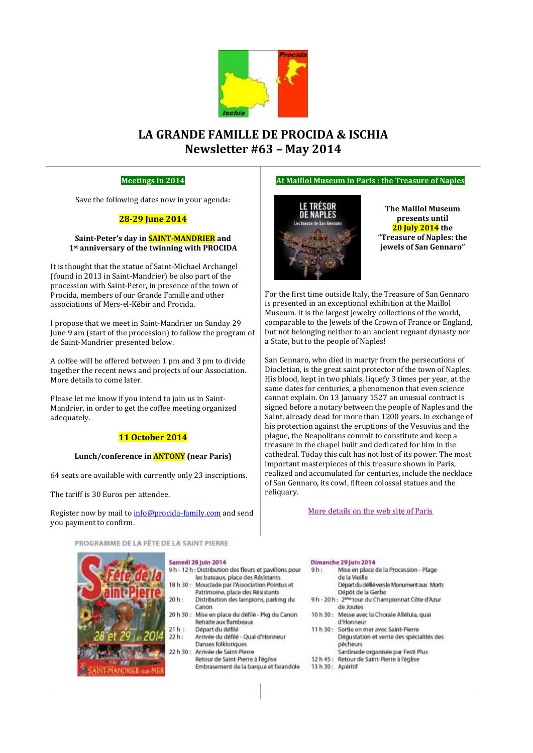

# **LA GRANDE FAMILLE DE PROCIDA & ISCHIA Newsletter #63 – May 2014**

# **Meetings in 2014**

Save the following dates now in your agenda:

# **28-29 June 2014**

### **Saint-Peter's day in SAINT-MANDRIER and 1st anniversary of the twinning with PROCIDA**

It is thought that the statue of Saint-Michael Archangel (found in 2013 in Saint-Mandrier) be also part of the procession with Saint-Peter, in presence of the town of Procida, members of our Grande Famille and other associations of Mers-el-Kébir and Procida.

I propose that we meet in Saint-Mandrier on Sunday 29 June 9 am (start of the procession) to follow the program of de Saint-Mandrier presented below.

A coffee will be offered between 1 pm and 3 pm to divide together the recent news and projects of our Association. More details to come later.

Please let me know if you intend to join us in Saint-Mandrier, in order to get the coffee meeting organized adequately.

# **11 October 2014**

# **Lunch/conference in ANTONY (near Paris)**

64 seats are available with currently only 23 inscriptions.

The tariff is 30 Euros per attendee.

Register now by mail t[o info@procida-family.com](mailto:info@procida-family.com) and send you payment to confirm.

PROGRAMME DE LA FÊTE DE LA SAINT PIERRE



### Samedi 28 juin 2014

- 9h 12h : Distribution des fleurs et pavilions pour les bateaux, place des Résistants  $18h30:$ Mouclade par l'Association Pointus et
- Patrimoine, place des Résistants  $20h:$ Distribution des lampions, parking du
- Canon 20 h 30 : Mise en place du défilé - Pkg du Canon Retraite aux flambeaux
- $21h:$ Départ du défilé
- Arrivée du défilé Quai d'Honneur  $22h:$ Danses folkloriques
- 22 h 30 : Arrivée de Saint-Pierre
	- Retour de Saint-Pierre à l'église Embrasement de la barque et farandole

### **At Maillol Museum in Paris : the Treasure of Naples**



**The Maillol Museum presents until 20 July 2014 the "Treasure of Naples: the jewels of San Gennaro"**

For the first time outside Italy, the Treasure of San Gennaro is presented in an exceptional exhibition at the Maillol Museum. It is the largest jewelry collections of the world, comparable to the Jewels of the Crown of France or England, but not belonging neither to an ancient regnant dynasty nor a State, but to the people of Naples!

San Gennaro, who died in martyr from the persecutions of Diocletian, is the great saint protector of the town of Naples. His blood, kept in two phials, liquefy 3 times per year, at the same dates for centuries, a phenomenon that even science cannot explain. On 13 January 1527 an unusual contract is signed before a notary between the people of Naples and the Saint, already dead for more than 1200 years. In exchange of his protection against the eruptions of the Vesuvius and the plague, the Neapolitans commit to constitute and keep a treasure in the chapel built and dedicated for him in the cathedral. Today this cult has not lost of its power. The most important masterpieces of this treasure shown in Paris, realized and accumulated for centuries, include the necklace of San Gennaro, its cowl, fifteen colossal statues and the reliquary.

### [More details on the web](http://www.mairie07.paris.fr/mairie07/jsp/site/Portal.jsp?document_id=17078&portlet_id=1079) site of Paris

#### Dimanche 29 Juin 2014 Mise en place de la Procession - Plage  $g<sub>h</sub>$ de la Vieille Départ du défilé vers le Monument aux Morts Dépôt de la Gerbe 9h - 20h: 2<sup>me</sup> tour du Championnat Côte d'Azur de Joutes 10 h 30 : Messe avec la Chorale Alléluia, quai d'Honneur 11h 30: Sortie en mer avec Saint-Pierre Dégustation et vente des spécialités des pécheurs

- Sardinade organisée par Festi Plus
- 12 h 45 : Retour de Saint-Pierre à l'église
- 13 h 30 : Apéritif